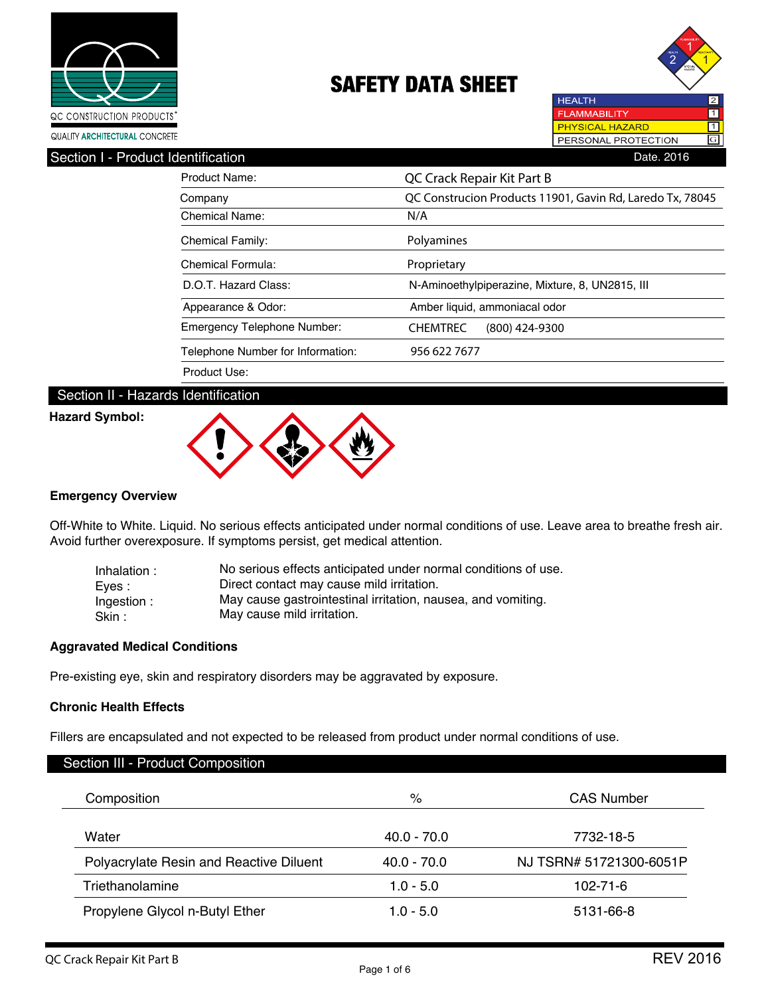



| Product Name:                      | QC Crack Repair Kit Part B                                |
|------------------------------------|-----------------------------------------------------------|
| Company                            | QC Construcion Products 11901, Gavin Rd, Laredo Tx, 78045 |
| Chemical Name:                     | N/A                                                       |
| <b>Chemical Family:</b>            | Polyamines                                                |
| Chemical Formula:                  | Proprietary                                               |
| D.O.T. Hazard Class:               | N-Aminoethylpiperazine, Mixture, 8, UN2815, III           |
| Appearance & Odor:                 | Amber liquid, ammoniacal odor                             |
| <b>Emergency Telephone Number:</b> | <b>CHEMTREC</b><br>$(800)$ 424-9300                       |
| Telephone Number for Information:  | 956 622 7677                                              |
| Product Use:                       |                                                           |

# Section II - Hazards Identification

## **Hazard Symbol:**



### **Emergency Overview**

Off-White to White. Liquid. No serious effects anticipated under normal conditions of use. Leave area to breathe fresh air. Avoid further overexposure. If symptoms persist, get medical attention.

| Inhalation:          | No serious effects anticipated under normal conditions of use.                             |
|----------------------|--------------------------------------------------------------------------------------------|
| Eves :               | Direct contact may cause mild irritation.                                                  |
| Ingestion:<br>Skin : | May cause gastrointestinal irritation, nausea, and vomiting.<br>May cause mild irritation. |

## **Aggravated Medical Conditions**

Pre-existing eye, skin and respiratory disorders may be aggravated by exposure.

### **Chronic Health Effects**

Г

Fillers are encapsulated and not expected to be released from product under normal conditions of use.

| $\%$          | <b>CAS Number</b>       |
|---------------|-------------------------|
| $40.0 - 70.0$ | 7732-18-5               |
| $40.0 - 70.0$ | NJ TSRN# 51721300-6051P |
| $1.0 - 5.0$   | 102-71-6                |
| $1.0 - 5.0$   | 5131-66-8               |
|               |                         |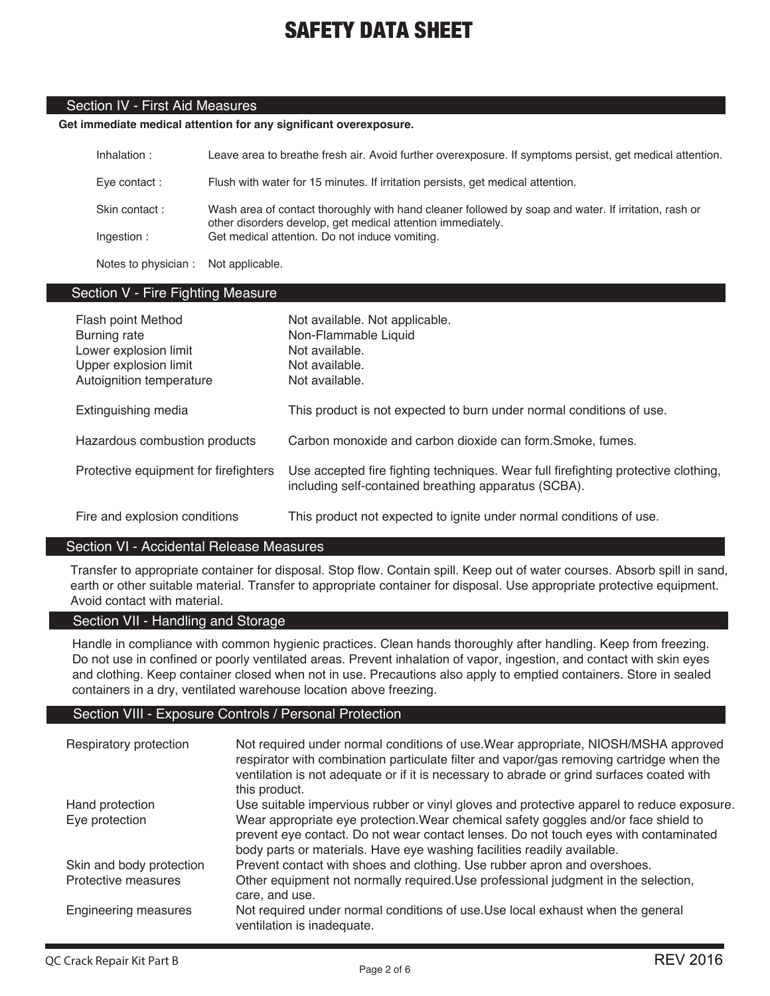# Section IV - First Aid Measures

## **Get immediate medical attention for any significant overexposure.**

| Inhalation :         | Leave area to breathe fresh air. Avoid further overexposure. If symptoms persist, get medical attention.                                                            |
|----------------------|---------------------------------------------------------------------------------------------------------------------------------------------------------------------|
| Eve contact :        | Flush with water for 15 minutes. If irritation persists, get medical attention.                                                                                     |
| Skin contact:        | Wash area of contact thoroughly with hand cleaner followed by soap and water. If irritation, rash or<br>other disorders develop, get medical attention immediately. |
| Ingestion:           | Get medical attention. Do not induce vomiting.                                                                                                                      |
| Notes to physician : | Not applicable.                                                                                                                                                     |

# Section V - Fire Fighting Measure

| Flash point Method<br>Burning rate<br>Lower explosion limit<br>Upper explosion limit<br>Autoignition temperature | Not available. Not applicable.<br>Non-Flammable Liquid<br>Not available.<br>Not available.<br>Not available.                               |
|------------------------------------------------------------------------------------------------------------------|--------------------------------------------------------------------------------------------------------------------------------------------|
| Extinguishing media                                                                                              | This product is not expected to burn under normal conditions of use.                                                                       |
| Hazardous combustion products                                                                                    | Carbon monoxide and carbon dioxide can form. Smoke, fumes.                                                                                 |
| Protective equipment for firefighters                                                                            | Use accepted fire fighting techniques. Wear full firefighting protective clothing,<br>including self-contained breathing apparatus (SCBA). |
| Fire and explosion conditions                                                                                    | This product not expected to ignite under normal conditions of use.                                                                        |

### Section VI - Accidental Release Measures

Transfer to appropriate container for disposal. Stop flow. Contain spill. Keep out of water courses. Absorb spill in sand, earth or other suitable material. Transfer to appropriate container for disposal. Use appropriate protective equipment. Avoid contact with material.

# Section VII - Handling and Storage

Handle in compliance with common hygienic practices. Clean hands thoroughly after handling. Keep from freezing. Do not use in confined or poorly ventilated areas. Prevent inhalation of vapor, ingestion, and contact with skin eyes and clothing. Keep container closed when not in use. Precautions also apply to emptied containers. Store in sealed containers in a dry, ventilated warehouse location above freezing.

### Section VIII - Exposure Controls / Personal Protection

| Respiratory protection            | Not required under normal conditions of use. Wear appropriate, NIOSH/MSHA approved<br>respirator with combination particulate filter and vapor/gas removing cartridge when the<br>ventilation is not adequate or if it is necessary to abrade or grind surfaces coated with<br>this product.                                                        |
|-----------------------------------|-----------------------------------------------------------------------------------------------------------------------------------------------------------------------------------------------------------------------------------------------------------------------------------------------------------------------------------------------------|
| Hand protection<br>Eye protection | Use suitable impervious rubber or vinyl gloves and protective apparel to reduce exposure.<br>Wear appropriate eye protection. Wear chemical safety goggles and/or face shield to<br>prevent eye contact. Do not wear contact lenses. Do not touch eyes with contaminated<br>body parts or materials. Have eye washing facilities readily available. |
| Skin and body protection          | Prevent contact with shoes and clothing. Use rubber apron and overshoes.                                                                                                                                                                                                                                                                            |
| Protective measures               | Other equipment not normally required. Use professional judgment in the selection,<br>care, and use.                                                                                                                                                                                                                                                |
| <b>Engineering measures</b>       | Not required under normal conditions of use. Use local exhaust when the general<br>ventilation is inadequate.                                                                                                                                                                                                                                       |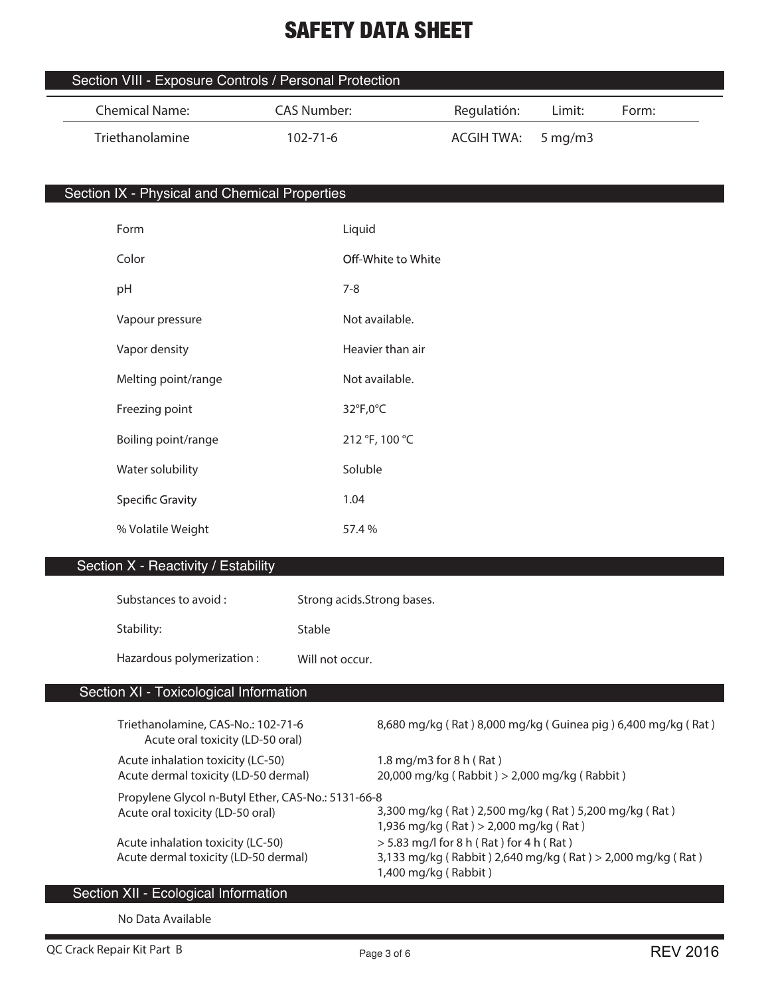| Section VIII - Exposure Controls / Personal Protection |                |                   |        |       |  |
|--------------------------------------------------------|----------------|-------------------|--------|-------|--|
| Chemical Name:                                         | CAS Number:    | Regulatión:       | Limit: | Form: |  |
| Triethanolamine                                        | $102 - 71 - 6$ | ACGIH TWA: 5mq/m3 |        |       |  |

# Section IX - Physical and Chemical Properties

| Form                    | Liquid             |
|-------------------------|--------------------|
| Color                   | Off-White to White |
| pH                      | $7 - 8$            |
| Vapour pressure         | Not available.     |
| Vapor density           | Heavier than air   |
| Melting point/range     | Not available.     |
| Freezing point          | 32°F,0°C           |
| Boiling point/range     | 212 °F, 100 °C     |
| Water solubility        | Soluble            |
| <b>Specific Gravity</b> | 1.04               |
| % Volatile Weight       | 57.4 %             |
|                         |                    |

# Section X - Reactivity / Estability

| Substances to avoid :     | Strong acids. Strong bases. |
|---------------------------|-----------------------------|
| Stability:                | Stable                      |
| Hazardous polymerization: | Will not occur.             |

# Section XI - Toxicological Information

| Triethanolamine, CAS-No.: 102-71-6<br>Acute oral toxicity (LD-50 oral)    | 8,680 mg/kg (Rat) 8,000 mg/kg (Guinea pig) 6,400 mg/kg (Rat)                                                                    |
|---------------------------------------------------------------------------|---------------------------------------------------------------------------------------------------------------------------------|
| Acute inhalation toxicity (LC-50)                                         | 1.8 mg/m3 for $8 h (Rat)$                                                                                                       |
| Acute dermal toxicity (LD-50 dermal)                                      | 20,000 mg/kg (Rabbit) > 2,000 mg/kg (Rabbit)                                                                                    |
| Propylene Glycol n-Butyl Ether, CAS-No.: 5131-66-8                        | 3,300 mg/kg (Rat) 2,500 mg/kg (Rat) 5,200 mg/kg (Rat)                                                                           |
| Acute oral toxicity (LD-50 oral)                                          | 1,936 mg/kg (Rat) > 2,000 mg/kg (Rat)                                                                                           |
| Acute inhalation toxicity (LC-50)<br>Acute dermal toxicity (LD-50 dermal) | $>$ 5.83 mg/l for 8 h (Rat) for 4 h (Rat)<br>3,133 mg/kg (Rabbit) 2,640 mg/kg (Rat) > 2,000 mg/kg (Rat)<br>1,400 mg/kg (Rabbit) |

# Section XII - Ecological Information

**No Data Available**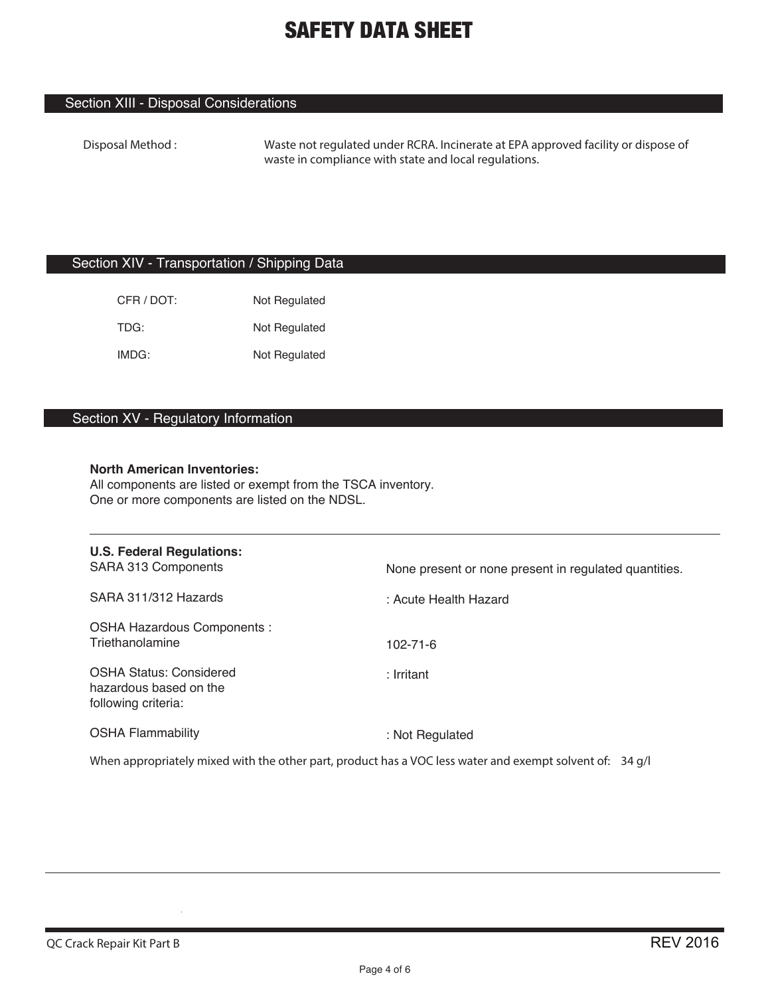# Section XIII - Disposal Considerations

**Disposal Method : Waste not regulated under RCRA. Incinerate at EPA approved facility or dispose of waste in compliance with state and local regulations.**

## Section XIV - Transportation / Shipping Data

| CFR / DOT: | Not Regulated |
|------------|---------------|
| TDG:       | Not Regulated |
| IMDG:      | Not Regulated |

# Section XV - Regulatory Information

### **North American Inventories:**

All components are listed or exempt from the TSCA inventory. One or more components are listed on the NDSL.

| <b>U.S. Federal Regulations:</b><br>SARA 313 Components                                                  | None present or none present in regulated quantities. |
|----------------------------------------------------------------------------------------------------------|-------------------------------------------------------|
| SARA 311/312 Hazards                                                                                     | : Acute Health Hazard                                 |
| <b>OSHA Hazardous Components:</b><br>Triethanolamine                                                     | $102 - 71 - 6$                                        |
| <b>OSHA Status: Considered</b><br>hazardous based on the<br>following criteria:                          | : Irritant                                            |
| <b>OSHA Flammability</b>                                                                                 | : Not Regulated                                       |
| When appropriately mixed with the other part, product has a VOC less water and exempt solvent of: 34 g/l |                                                       |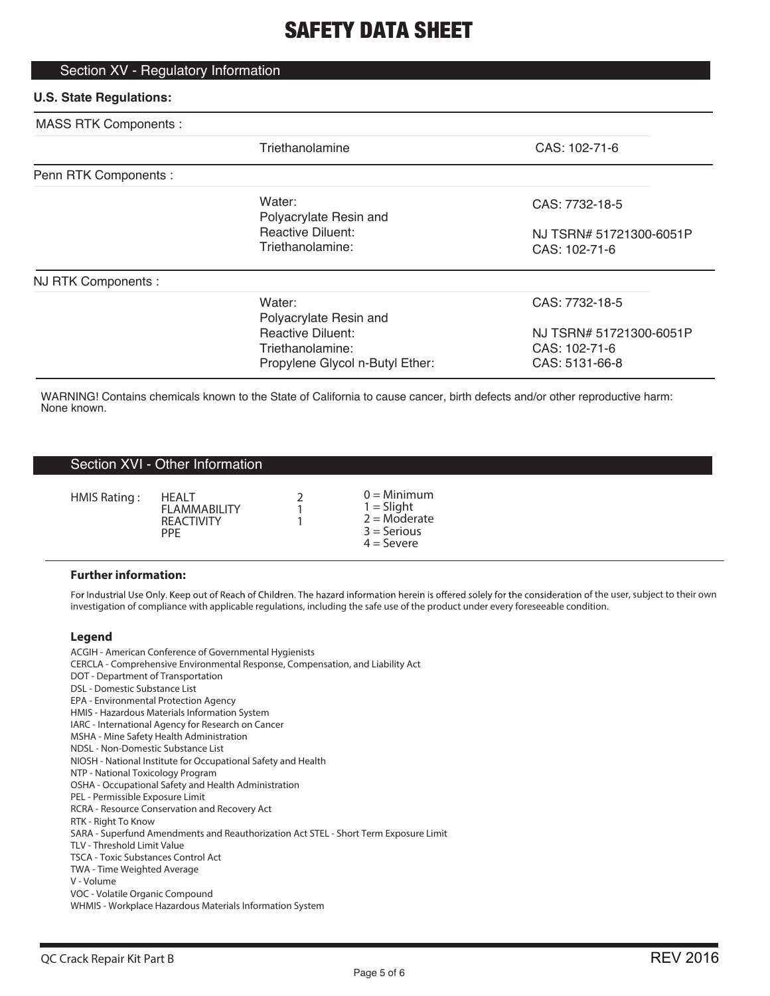# Section XV - Regulatory Information

# **U.S. State Regulations:**

| <b>MASS RTK Components:</b> |                                                                                                                     |                                                                              |
|-----------------------------|---------------------------------------------------------------------------------------------------------------------|------------------------------------------------------------------------------|
|                             | Triethanolamine                                                                                                     | CAS: 102-71-6                                                                |
| Penn RTK Components :       |                                                                                                                     |                                                                              |
|                             | Water:<br>Polyacrylate Resin and                                                                                    | CAS: 7732-18-5                                                               |
|                             | <b>Reactive Diluent:</b><br>Triethanolamine:                                                                        | NJ TSRN# 51721300-6051P<br>CAS: 102-71-6                                     |
| NJ RTK Components :         |                                                                                                                     |                                                                              |
|                             | Water:<br>Polyacrylate Resin and<br><b>Reactive Diluent:</b><br>Triethanolamine:<br>Propylene Glycol n-Butyl Ether: | CAS: 7732-18-5<br>NJ TSRN# 51721300-6051P<br>CAS: 102-71-6<br>CAS: 5131-66-8 |

WARNING! Contains chemicals known to the State of California to cause cancer, birth defects and/or other reproductive harm: None known.

### Section XVI - Other Information

| HMIS Rating:<br><b>HFAIT</b><br><b>FI AMMARII ITY</b><br><b>REACTIVITY</b><br><b>PPF</b> |  | $0 =$ Minimum<br>$1 =$ Slight<br>$2 =$ Moderate<br>$3 =$ Serious<br>$4 =$ Severe |
|------------------------------------------------------------------------------------------|--|----------------------------------------------------------------------------------|
|------------------------------------------------------------------------------------------|--|----------------------------------------------------------------------------------|

#### **Further information:**

For Industrial Use Only. Keep out of Reach of Children. The hazard information herein is offered solely for the consideration of the user, subject to their own investigation of compliance with applicable regulations, including the safe use of the product under every foreseeable condition.

#### **Legend**

ACGIH - American Conference of Governmental Hygienists CERCLA - Comprehensive Environmental Response, Compensation, and Liability Act DOT - Department of Transportation DSL - Domestic Substance List EPA - Environmental Protection Agency HMIS - Hazardous Materials Information System IARC - International Agency for Research on Cancer MSHA - Mine Safety Health Administration NDSL - Non-Domestic Substance List NIOSH - National Institute for Occupational Safety and Health NTP - National Toxicology Program OSHA - Occupational Safety and Health Administration PEL - Permissible Exposure Limit RCRA - Resource Conservation and Recovery Act RTK - Right To Know SARA - Superfund Amendments and Reauthorization Act STEL - Short Term Exposure Limit TLV - Threshold Limit Value TSCA - Toxic Substances Control Act TWA - Time Weighted Average V - Volume VOC - Volatile Organic Compound WHMIS - Workplace Hazardous Materials Information System